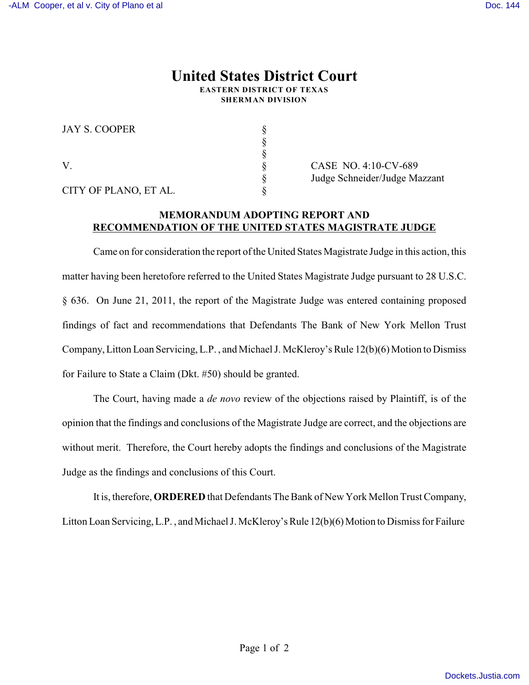## **United States District Court EASTERN DISTRICT OF TEXAS SHERMAN DIVISION**

§

§

JAY S. COOPER §

CITY OF PLANO, ET AL. §

V. § CASE NO. 4:10-CV-689 § Judge Schneider/Judge Mazzant

## **MEMORANDUM ADOPTING REPORT AND RECOMMENDATION OF THE UNITED STATES MAGISTRATE JUDGE**

Came on for consideration the report of the United States Magistrate Judge in this action, this matter having been heretofore referred to the United States Magistrate Judge pursuant to 28 U.S.C. § 636. On June 21, 2011, the report of the Magistrate Judge was entered containing proposed findings of fact and recommendations that Defendants The Bank of New York Mellon Trust Company, Litton Loan Servicing, L.P. , and Michael J. McKleroy's Rule 12(b)(6) Motion to Dismiss for Failure to State a Claim (Dkt. #50) should be granted.

The Court, having made a *de novo* review of the objections raised by Plaintiff, is of the opinion that the findings and conclusions of the Magistrate Judge are correct, and the objections are without merit. Therefore, the Court hereby adopts the findings and conclusions of the Magistrate Judge as the findings and conclusions of this Court.

It is, therefore, **ORDERED** that Defendants The Bank of New York Mellon Trust Company, Litton Loan Servicing, L.P., and Michael J. McKleroy's Rule 12(b)(6) Motion to Dismiss for Failure